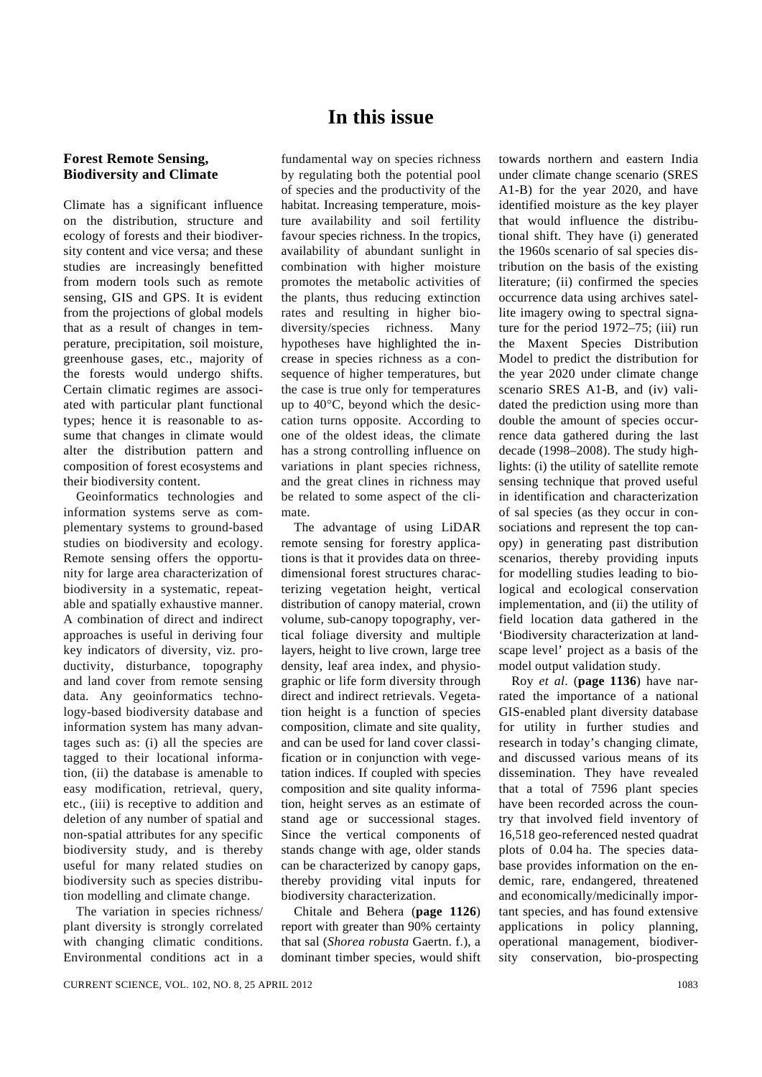## **In this issue**

## **Forest Remote Sensing, Biodiversity and Climate**

Climate has a significant influence on the distribution, structure and ecology of forests and their biodiversity content and vice versa; and these studies are increasingly benefitted from modern tools such as remote sensing, GIS and GPS. It is evident from the projections of global models that as a result of changes in temperature, precipitation, soil moisture, greenhouse gases, etc., majority of the forests would undergo shifts. Certain climatic regimes are associated with particular plant functional types; hence it is reasonable to assume that changes in climate would alter the distribution pattern and composition of forest ecosystems and their biodiversity content.

 Geoinformatics technologies and information systems serve as complementary systems to ground-based studies on biodiversity and ecology. Remote sensing offers the opportunity for large area characterization of biodiversity in a systematic, repeatable and spatially exhaustive manner. A combination of direct and indirect approaches is useful in deriving four key indicators of diversity, viz. productivity, disturbance, topography and land cover from remote sensing data. Any geoinformatics technology-based biodiversity database and information system has many advantages such as: (i) all the species are tagged to their locational information, (ii) the database is amenable to easy modification, retrieval, query, etc., (iii) is receptive to addition and deletion of any number of spatial and non-spatial attributes for any specific biodiversity study, and is thereby useful for many related studies on biodiversity such as species distribution modelling and climate change.

 The variation in species richness/ plant diversity is strongly correlated with changing climatic conditions. Environmental conditions act in a

fundamental way on species richness by regulating both the potential pool of species and the productivity of the habitat. Increasing temperature, moisture availability and soil fertility favour species richness. In the tropics, availability of abundant sunlight in combination with higher moisture promotes the metabolic activities of the plants, thus reducing extinction rates and resulting in higher biodiversity/species richness. Many hypotheses have highlighted the increase in species richness as a consequence of higher temperatures, but the case is true only for temperatures up to 40°C, beyond which the desiccation turns opposite. According to one of the oldest ideas, the climate has a strong controlling influence on variations in plant species richness, and the great clines in richness may be related to some aspect of the climate.

 The advantage of using LiDAR remote sensing for forestry applications is that it provides data on threedimensional forest structures characterizing vegetation height, vertical distribution of canopy material, crown volume, sub-canopy topography, vertical foliage diversity and multiple layers, height to live crown, large tree density, leaf area index, and physiographic or life form diversity through direct and indirect retrievals. Vegetation height is a function of species composition, climate and site quality, and can be used for land cover classification or in conjunction with vegetation indices. If coupled with species composition and site quality information, height serves as an estimate of stand age or successional stages. Since the vertical components of stands change with age, older stands can be characterized by canopy gaps, thereby providing vital inputs for biodiversity characterization.

 Chitale and Behera (**page 1126**) report with greater than 90% certainty that sal (*Shorea robusta* Gaertn. f.), a dominant timber species, would shift towards northern and eastern India under climate change scenario (SRES A1-B) for the year 2020, and have identified moisture as the key player that would influence the distributional shift. They have (i) generated the 1960s scenario of sal species distribution on the basis of the existing literature; (ii) confirmed the species occurrence data using archives satellite imagery owing to spectral signature for the period 1972–75; (iii) run the Maxent Species Distribution Model to predict the distribution for the year 2020 under climate change scenario SRES A1-B, and (iv) validated the prediction using more than double the amount of species occurrence data gathered during the last decade (1998–2008). The study highlights: (i) the utility of satellite remote sensing technique that proved useful in identification and characterization of sal species (as they occur in consociations and represent the top canopy) in generating past distribution scenarios, thereby providing inputs for modelling studies leading to biological and ecological conservation implementation, and (ii) the utility of field location data gathered in the 'Biodiversity characterization at landscape level' project as a basis of the model output validation study.

 Roy *et al*. (**page 1136**) have narrated the importance of a national GIS-enabled plant diversity database for utility in further studies and research in today's changing climate, and discussed various means of its dissemination. They have revealed that a total of 7596 plant species have been recorded across the country that involved field inventory of 16,518 geo-referenced nested quadrat plots of 0.04 ha. The species database provides information on the endemic, rare, endangered, threatened and economically/medicinally important species, and has found extensive applications in policy planning, operational management, biodiversity conservation, bio-prospecting